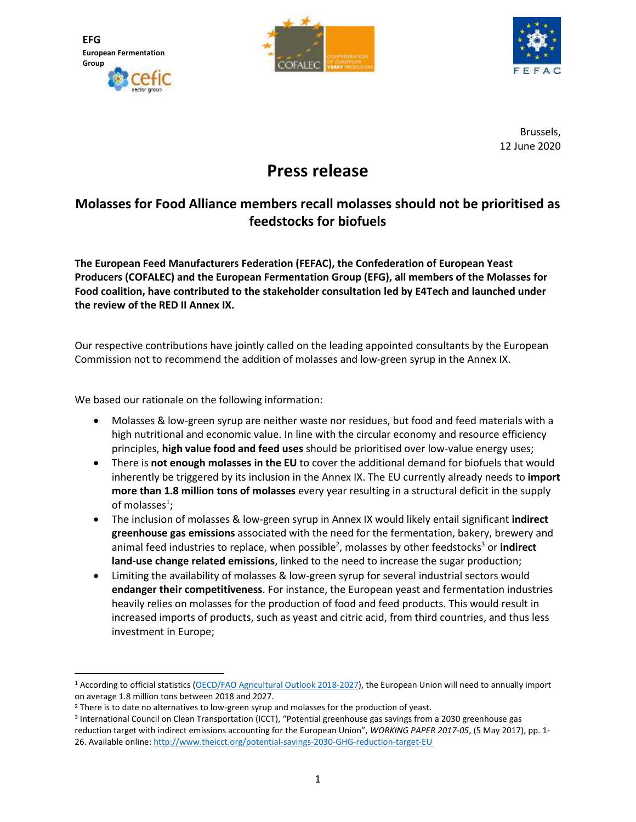**EFG European Fermentation Group**





Brussels, 12 June 2020

## **Press release**

## **Molasses for Food Alliance members recall molasses should not be prioritised as feedstocks for biofuels**

**The European Feed Manufacturers Federation (FEFAC), the Confederation of European Yeast Producers (COFALEC) and the European Fermentation Group (EFG), all members of the Molasses for Food coalition, have contributed to the stakeholder consultation led by E4Tech and launched under the review of the RED II Annex IX.**

Our respective contributions have jointly called on the leading appointed consultants by the European Commission not to recommend the addition of molasses and low-green syrup in the Annex IX.

We based our rationale on the following information:

- Molasses & low-green syrup are neither waste nor residues, but food and feed materials with a high nutritional and economic value. In line with the circular economy and resource efficiency principles, **high value food and feed uses** should be prioritised over low-value energy uses;
- There is **not enough molasses in the EU** to cover the additional demand for biofuels that would inherently be triggered by its inclusion in the Annex IX. The EU currently already needs to **import more than 1.8 million tons of molasses** every year resulting in a structural deficit in the supply of molasses $^1$ ;
- The inclusion of molasses & low-green syrup in Annex IX would likely entail significant **indirect greenhouse gas emissions** associated with the need for the fermentation, bakery, brewery and animal feed industries to replace, when possible<sup>2</sup>, molasses by other feedstocks<sup>3</sup> or indirect **land-use change related emissions**, linked to the need to increase the sugar production;
- Limiting the availability of molasses & low-green syrup for several industrial sectors would **endanger their competitiveness**. For instance, the European yeast and fermentation industries heavily relies on molasses for the production of food and feed products. This would result in increased imports of products, such as yeast and citric acid, from third countries, and thus less investment in Europe;

<sup>1</sup> According to official statistics [\(OECD/FAO Agricultural Outlook 2018-2027\)](https://www.oecd-ilibrary.org/agriculture-and-food/oecd-fao-agricultural-outlook-2018-2027_agr_outlook-2018-en), the European Union will need to annually import on average 1.8 million tons between 2018 and 2027.

<sup>&</sup>lt;sup>2</sup> There is to date no alternatives to low-green syrup and molasses for the production of yeast.

<sup>3</sup> International Council on Clean Transportation (ICCT), "Potential greenhouse gas savings from a 2030 greenhouse gas reduction target with indirect emissions accounting for the European Union", *WORKING PAPER 2017-05*, (5 May 2017), pp. 1- 26. Available online:<http://www.theicct.org/potential-savings-2030-GHG-reduction-target-EU>